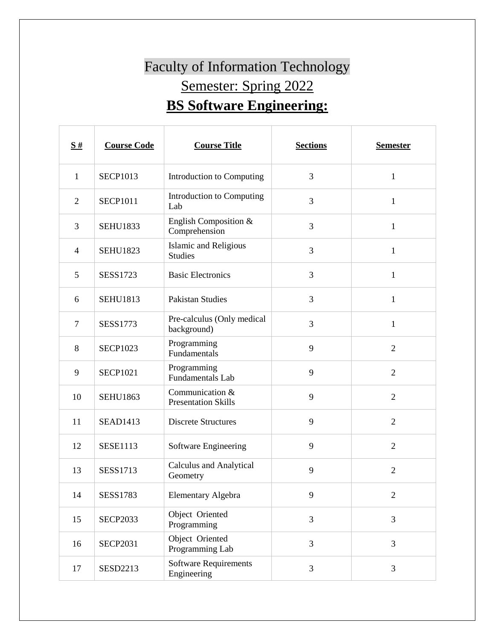## Faculty of Information Technology Semester: Spring 2022 **BS Software Engineering:**

| $\frac{S#}{4}$ | <b>Course Code</b> | <b>Course Title</b>                            | <b>Sections</b> | <b>Semester</b> |
|----------------|--------------------|------------------------------------------------|-----------------|-----------------|
| $\mathbf{1}$   | <b>SECP1013</b>    | Introduction to Computing                      | 3               | $\mathbf{1}$    |
| $\overline{2}$ | <b>SECP1011</b>    | Introduction to Computing<br>Lab               | 3               | $\mathbf{1}$    |
| 3              | <b>SEHU1833</b>    | English Composition &<br>Comprehension         | 3               | $\mathbf{1}$    |
| 4              | <b>SEHU1823</b>    | <b>Islamic and Religious</b><br><b>Studies</b> | 3               | $\mathbf{1}$    |
| 5              | <b>SESS1723</b>    | <b>Basic Electronics</b>                       | 3               | $\mathbf{1}$    |
| 6              | <b>SEHU1813</b>    | <b>Pakistan Studies</b>                        | 3               | $\mathbf{1}$    |
| 7              | SESS1773           | Pre-calculus (Only medical<br>background)      | 3               | 1               |
| 8              | <b>SECP1023</b>    | Programming<br>Fundamentals                    | 9               | $\overline{2}$  |
| 9              | <b>SECP1021</b>    | Programming<br><b>Fundamentals Lab</b>         | 9               | $\overline{2}$  |
| 10             | <b>SEHU1863</b>    | Communication &<br><b>Presentation Skills</b>  | 9               | $\overline{2}$  |
| 11             | <b>SEAD1413</b>    | <b>Discrete Structures</b>                     | 9               | $\overline{2}$  |
| 12             | <b>SESE1113</b>    | Software Engineering                           | 9               | $\overline{2}$  |
| 13             | <b>SESS1713</b>    | <b>Calculus and Analytical</b><br>Geometry     | 9               | $\overline{2}$  |
| 14             | <b>SESS1783</b>    | Elementary Algebra                             | 9               | $\overline{c}$  |
| 15             | <b>SECP2033</b>    | Object Oriented<br>Programming                 | $\overline{3}$  | 3               |
| 16             | <b>SECP2031</b>    | Object Oriented<br>Programming Lab             | 3               | $\overline{3}$  |
| 17             | <b>SESD2213</b>    | <b>Software Requirements</b><br>Engineering    | 3               | 3               |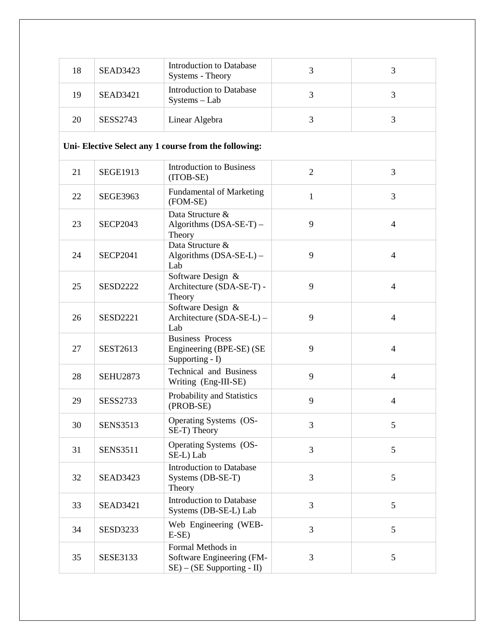| 18 | <b>SEAD3423</b> | <b>Introduction to Database</b><br>Systems - Theory                             | 3              | 3              |
|----|-----------------|---------------------------------------------------------------------------------|----------------|----------------|
| 19 | <b>SEAD3421</b> | <b>Introduction to Database</b><br>Systems - Lab                                | 3              | 3              |
| 20 | <b>SESS2743</b> | Linear Algebra                                                                  | 3              | 3              |
|    |                 | Uni- Elective Select any 1 course from the following:                           |                |                |
| 21 | <b>SEGE1913</b> | <b>Introduction to Business</b><br>(ITOB-SE)                                    | $\overline{2}$ | 3              |
| 22 | <b>SEGE3963</b> | <b>Fundamental of Marketing</b><br>(FOM-SE)                                     | $\mathbf{1}$   | 3              |
| 23 | <b>SECP2043</b> | Data Structure &<br>Algorithms (DSA-SE-T) -<br>Theory                           | 9              | $\overline{4}$ |
| 24 | <b>SECP2041</b> | Data Structure &<br>Algorithms (DSA-SE-L) -<br>Lab                              | 9              | $\overline{4}$ |
| 25 | <b>SESD2222</b> | Software Design &<br>Architecture (SDA-SE-T) -<br>Theory                        | 9              | $\overline{4}$ |
| 26 | <b>SESD2221</b> | Software Design &<br>Architecture (SDA-SE-L) -<br>Lab                           | 9              | $\overline{4}$ |
| 27 | <b>SEST2613</b> | <b>Business Process</b><br>Engineering (BPE-SE) (SE<br>Supporting - I)          | 9              | $\overline{4}$ |
| 28 | <b>SEHU2873</b> | <b>Technical and Business</b><br>Writing (Eng-III-SE)                           | 9              | $\overline{4}$ |
| 29 | <b>SESS2733</b> | Probability and Statistics<br>(PROB-SE)                                         | 9              | $\overline{4}$ |
| 30 | <b>SENS3513</b> | Operating Systems (OS-<br>SE-T) Theory                                          | 3              | 5              |
| 31 | <b>SENS3511</b> | Operating Systems (OS-<br>SE-L) Lab                                             | 3              | 5              |
| 32 | <b>SEAD3423</b> | <b>Introduction to Database</b><br>Systems (DB-SE-T)<br>Theory                  | 3              | 5              |
| 33 | <b>SEAD3421</b> | <b>Introduction to Database</b><br>Systems (DB-SE-L) Lab                        | 3              | 5              |
| 34 | <b>SESD3233</b> | Web Engineering (WEB-<br>$E-SE$ )                                               | 3              | 5              |
| 35 | <b>SESE3133</b> | Formal Methods in<br>Software Engineering (FM-<br>$SE$ ) – (SE Supporting - II) | 3              | 5              |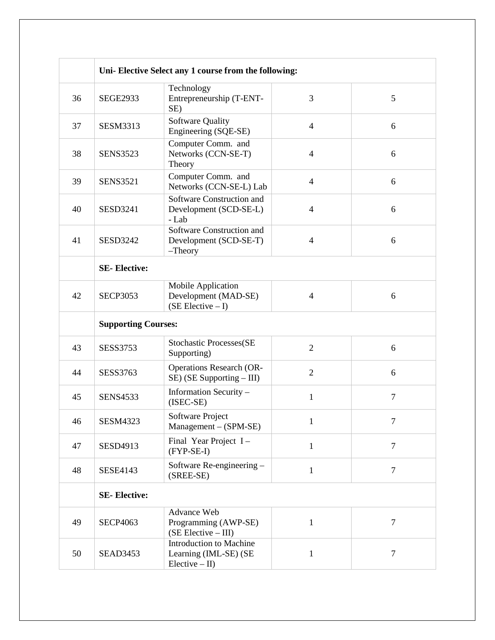|    |                            | Uni- Elective Select any 1 course from the following:                                          |                |                |  |
|----|----------------------------|------------------------------------------------------------------------------------------------|----------------|----------------|--|
| 36 | <b>SEGE2933</b>            | Technology<br>Entrepreneurship (T-ENT-<br>SE)                                                  | 3              | 5              |  |
| 37 | <b>SESM3313</b>            | Software Quality<br>Engineering (SQE-SE)                                                       | $\overline{4}$ | 6              |  |
| 38 | <b>SENS3523</b>            | Computer Comm. and<br>Networks (CCN-SE-T)<br>Theory                                            | $\overline{4}$ | 6              |  |
| 39 | <b>SENS3521</b>            | Computer Comm. and<br>Networks (CCN-SE-L) Lab                                                  | $\overline{4}$ | 6              |  |
| 40 | <b>SESD3241</b>            | Software Construction and<br>Development (SCD-SE-L)<br>- Lab                                   | $\overline{4}$ | 6              |  |
| 41 | <b>SESD3242</b>            | Software Construction and<br>Development (SCD-SE-T)<br>$-$ Theory                              | $\overline{4}$ | 6              |  |
|    | <b>SE-Elective:</b>        |                                                                                                |                |                |  |
| 42 | <b>SECP3053</b>            | Mobile Application<br>Development (MAD-SE)<br>$(SE Electric - I)$                              | $\overline{4}$ | 6              |  |
|    | <b>Supporting Courses:</b> |                                                                                                |                |                |  |
|    |                            |                                                                                                |                |                |  |
| 43 | <b>SESS3753</b>            | <b>Stochastic Processes(SE</b><br>Supporting)                                                  | $\overline{2}$ | 6              |  |
| 44 | <b>SESS3763</b>            | <b>Operations Research (OR-</b><br>SE) (SE Supporting - III)                                   | $\overline{2}$ | 6              |  |
| 45 | <b>SENS4533</b>            | Information Security -<br>$(ISEC-SE)$                                                          | $\mathbf{1}$   | 7              |  |
| 46 | <b>SESM4323</b>            | Software Project<br>$Management - (SPM-SE)$                                                    | 1              |                |  |
| 47 | SESD4913                   | Final Year Project I-<br>$(FYP-SE-I)$                                                          | $\mathbf{1}$   | $\overline{7}$ |  |
| 48 | <b>SESE4143</b>            | Software Re-engineering -<br>(SREE-SE)                                                         | $\mathbf{1}$   | $\overline{7}$ |  |
|    | <b>SE-Elective:</b>        |                                                                                                |                |                |  |
| 49 | <b>SECP4063</b>            | <b>Advance Web</b><br>Programming (AWP-SE)<br>$(SE Electric - III)$<br>Introduction to Machine | 1              | $\overline{7}$ |  |